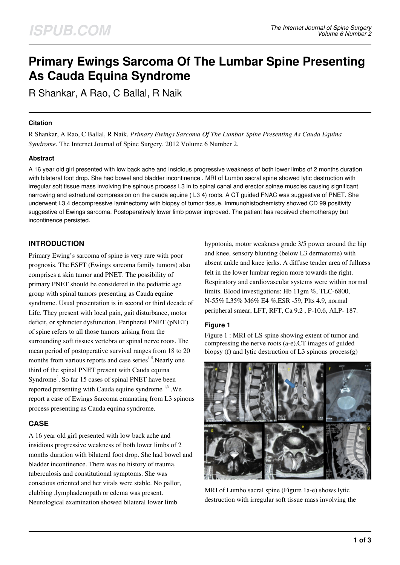# **Primary Ewings Sarcoma Of The Lumbar Spine Presenting As Cauda Equina Syndrome**

R Shankar, A Rao, C Ballal, R Naik

### **Citation**

R Shankar, A Rao, C Ballal, R Naik. *Primary Ewings Sarcoma Of The Lumbar Spine Presenting As Cauda Equina Syndrome*. The Internet Journal of Spine Surgery. 2012 Volume 6 Number 2.

## **Abstract**

A 16 year old girl presented with low back ache and insidious progressive weakness of both lower limbs of 2 months duration with bilateral foot drop. She had bowel and bladder incontinence . MRI of Lumbo sacral spine showed lytic destruction with irregular soft tissue mass involving the spinous process L3 in to spinal canal and erector spinae muscles causing significant narrowing and extradural compression on the cauda equine ( L3 4) roots. A CT guided FNAC was suggestive of PNET. She underwent L3,4 decompressive laminectomy with biopsy of tumor tissue. Immunohistochemistry showed CD 99 positivity suggestive of Ewings sarcoma. Postoperatively lower limb power improved. The patient has received chemotherapy but incontinence persisted.

# **INTRODUCTION**

Primary Ewing's sarcoma of spine is very rare with poor prognosis. The ESFT (Ewings sarcoma family tumors) also comprises a skin tumor and PNET. The possibility of primary PNET should be considered in the pediatric age group with spinal tumors presenting as Cauda equine syndrome. Usual presentation is in second or third decade of Life. They present with local pain, gait disturbance, motor deficit, or sphincter dysfunction. Peripheral PNET (pNET) of spine refers to all those tumors arising from the surrounding soft tissues vertebra or spinal nerve roots. The mean period of postoperative survival ranges from 18 to 20 months from various reports and case series<sup>1-5</sup>. Nearly one third of the spinal PNET present with Cauda equina Syndrome<sup>2</sup>. So far 15 cases of spinal PNET have been reported presenting with Cauda equine syndrome  $^{1,3}$ . We report a case of Ewings Sarcoma emanating from L3 spinous process presenting as Cauda equina syndrome.

## **CASE**

A 16 year old girl presented with low back ache and insidious progressive weakness of both lower limbs of 2 months duration with bilateral foot drop. She had bowel and bladder incontinence. There was no history of trauma, tuberculosis and constitutional symptoms. She was conscious oriented and her vitals were stable. No pallor, clubbing ,lymphadenopath or edema was present. Neurological examination showed bilateral lower limb

hypotonia, motor weakness grade 3/5 power around the hip and knee, sensory blunting (below L3 dermatome) with absent ankle and knee jerks. A diffuse tender area of fullness felt in the lower lumbar region more towards the right. Respiratory and cardiovascular systems were within normal limits. Blood investigations: Hb 11gm %, TLC-6800, N-55% L35% M6% E4 %,ESR -59, Plts 4.9, normal peripheral smear, LFT, RFT, Ca 9.2 , P-10.6, ALP- 187.

## **Figure 1**

Figure 1 : MRI of LS spine showing extent of tumor and compressing the nerve roots (a-e).CT images of guided biopsy (f) and lytic destruction of L3 spinous process(g)



MRI of Lumbo sacral spine (Figure 1a-e) shows lytic destruction with irregular soft tissue mass involving the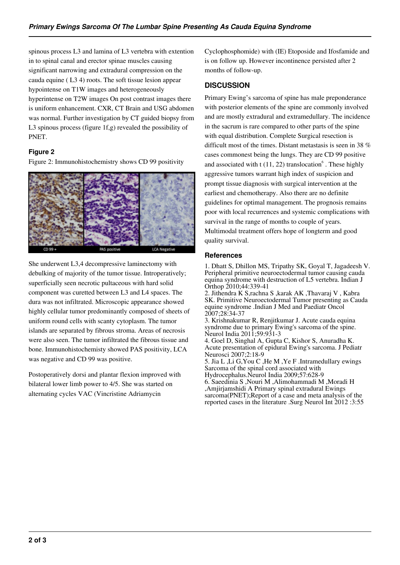spinous process L3 and lamina of L3 vertebra with extention in to spinal canal and erector spinae muscles causing significant narrowing and extradural compression on the cauda equine ( L3 4) roots. The soft tissue lesion appear hypointense on T1W images and heterogeneously hyperintense on T2W images On post contrast images there is uniform enhancement. CXR, CT Brain and USG abdomen was normal. Further investigation by CT guided biopsy from L3 spinous process (figure 1f,g) revealed the possibility of PNET.

## **Figure 2**

Figure 2: Immunohistochemistry shows CD 99 positivity



She underwent L3,4 decompressive laminectomy with debulking of majority of the tumor tissue. Introperatively; superficially seen necrotic pultaceous with hard solid component was curetted between L3 and L4 spaces. The dura was not infiltrated. Microscopic appearance showed highly cellular tumor predominantly composed of sheets of uniform round cells with scanty cytoplasm. The tumor islands are separated by fibrous stroma. Areas of necrosis were also seen. The tumor infiltrated the fibrous tissue and bone. Immunohistochemisty showed PAS positivity, LCA was negative and CD 99 was positive.

Postoperatively dorsi and plantar flexion improved with bilateral lower limb power to 4/5. She was started on alternating cycles VAC (Vincristine Adriamycin

Cyclophosphomide) with (IE) Etoposide and Ifosfamide and is on follow up. However incontinence persisted after 2 months of follow-up.

# **DISCUSSION**

Primary Ewing's sarcoma of spine has male preponderance with posterior elements of the spine are commonly involved and are mostly extradural and extramedullary. The incidence in the sacrum is rare compared to other parts of the spine with equal distribution. Complete Surgical resection is difficult most of the times. Distant metastasis is seen in 38 % cases commonest being the lungs. They are CD 99 positive and associated with  $t(11, 22)$  translocation<sup>6</sup>. These highly aggressive tumors warrant high index of suspicion and prompt tissue diagnosis with surgical intervention at the earliest and chemotherapy. Also there are no definite guidelines for optimal management. The prognosis remains poor with local recurrences and systemic complications with survival in the range of months to couple of years. Multimodal treatment offers hope of longterm and good quality survival.

#### **References**

1. Dhatt S, Dhillon MS, Tripathy SK, Goyal T, Jagadeesh V. Peripheral primitive neuroectodermal tumor causing cauda equina syndrome with destruction of L5 vertebra. Indian J Orthop 2010;44:339-41

2. Jithendra K S,rachna S ,karak AK ,Thavaraj V , Kabra SK. Primitive Neuroectodermal Tumor presenting as Cauda equine syndrome .Indian J Med and Paediatr Oncol 2007;28:34-37

3. Krishnakumar R, Renjitkumar J. Acute cauda equina syndrome due to primary Ewing's sarcoma of the spine. Neurol India 2011;59:931-3

4. Goel D, Singhal A, Gupta C, Kishor S, Anuradha K. Acute presentation of epidural Ewing's sarcoma. J Pediatr Neurosci 2007;2:18-9

5. Jia L ,Li G,You C ,He M ,Ye F .Intramedullary ewings Sarcoma of the spinal cord associated with

Hydrocephalus.Neurol India 2009;57:628-9 6. Saeedinia S ,Nouri M ,Alimohammadi M ,Moradi H ,Amjirjamshidi A Primary spinal extradural Ewings sarcoma(PNET);Report of a case and meta analysis of the reported cases in the literature .Surg Neurol Int 2012 :3:55